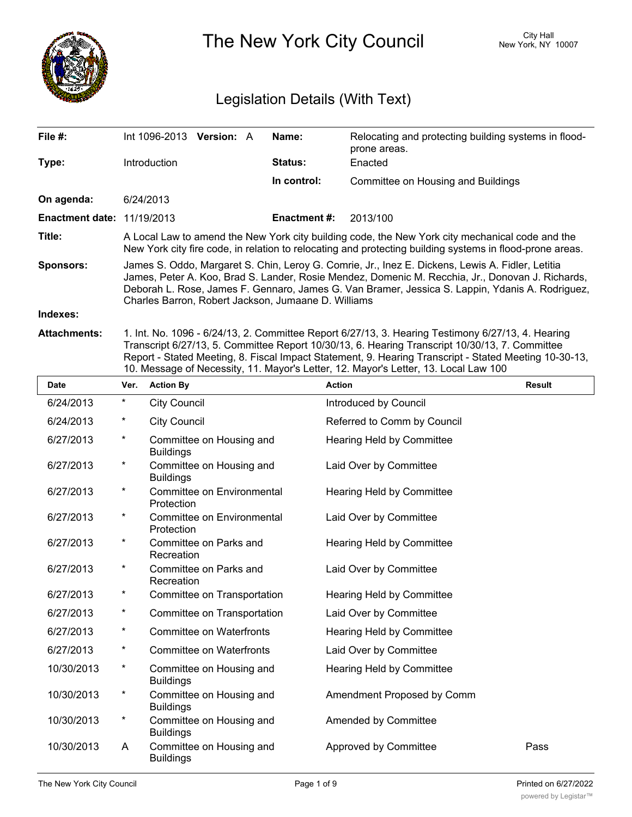

The New York City Council New York, NY 10007

# Legislation Details (With Text)

| File #:                           | Int 1096-2013                                                                                                                                                                                                                                                                                                                                                  | <b>Version: A</b> |  | Name:        | Relocating and protecting building systems in flood-<br>prone areas.                    |
|-----------------------------------|----------------------------------------------------------------------------------------------------------------------------------------------------------------------------------------------------------------------------------------------------------------------------------------------------------------------------------------------------------------|-------------------|--|--------------|-----------------------------------------------------------------------------------------|
| Type:                             | <b>Introduction</b>                                                                                                                                                                                                                                                                                                                                            |                   |  | Status:      | Enacted                                                                                 |
|                                   |                                                                                                                                                                                                                                                                                                                                                                |                   |  | In control:  | Committee on Housing and Buildings                                                      |
| On agenda:                        | 6/24/2013                                                                                                                                                                                                                                                                                                                                                      |                   |  |              |                                                                                         |
| <b>Enactment date: 11/19/2013</b> |                                                                                                                                                                                                                                                                                                                                                                |                   |  | Enactment #: | 2013/100                                                                                |
| Title:                            | A Local Law to amend the New York city building code, the New York city mechanical code and the<br>New York city fire code, in relation to relocating and protecting building systems in flood-prone areas.                                                                                                                                                    |                   |  |              |                                                                                         |
| <b>Sponsors:</b>                  | James S. Oddo, Margaret S. Chin, Leroy G. Comrie, Jr., Inez E. Dickens, Lewis A. Fidler, Letitia<br>James, Peter A. Koo, Brad S. Lander, Rosie Mendez, Domenic M. Recchia, Jr., Donovan J. Richards,<br>Deborah L. Rose, James F. Gennaro, James G. Van Bramer, Jessica S. Lappin, Ydanis A. Rodriguez,<br>Charles Barron, Robert Jackson, Jumaane D. Williams |                   |  |              |                                                                                         |
| Indexes:                          |                                                                                                                                                                                                                                                                                                                                                                |                   |  |              |                                                                                         |
| Attachmonte:                      |                                                                                                                                                                                                                                                                                                                                                                |                   |  |              | 1 Int No. 1006 6/24/13 2 Committee Report 6/27/13 3 Hearing Testimony 6/27/13 4 Hearing |

**achments:** 1. Int. No. 1096 - 6/24/13, 2. Committee Report 6/27/13, 3. Hearing Testimony 6/27/13, 4. Hearing Transcript 6/27/13, 5. Committee Report 10/30/13, 6. Hearing Transcript 10/30/13, 7. Committee Report - Stated Meeting, 8. Fiscal Impact Statement, 9. Hearing Transcript - Stated Meeting 10-30-13, 10. Message of Necessity, 11. Mayor's Letter, 12. Mayor's Letter, 13. Local Law 100

| <b>Date</b> | Ver.     | <b>Action By</b>                             | <b>Action</b>                    | <b>Result</b> |
|-------------|----------|----------------------------------------------|----------------------------------|---------------|
| 6/24/2013   | $\star$  | <b>City Council</b>                          | Introduced by Council            |               |
| 6/24/2013   | $^\ast$  | <b>City Council</b>                          | Referred to Comm by Council      |               |
| 6/27/2013   | $\star$  | Committee on Housing and<br><b>Buildings</b> | Hearing Held by Committee        |               |
| 6/27/2013   | $\star$  | Committee on Housing and<br><b>Buildings</b> | Laid Over by Committee           |               |
| 6/27/2013   | $\star$  | Committee on Environmental<br>Protection     | Hearing Held by Committee        |               |
| 6/27/2013   | $\star$  | Committee on Environmental<br>Protection     | Laid Over by Committee           |               |
| 6/27/2013   | $\star$  | Committee on Parks and<br>Recreation         | <b>Hearing Held by Committee</b> |               |
| 6/27/2013   | $\star$  | Committee on Parks and<br>Recreation         | Laid Over by Committee           |               |
| 6/27/2013   | $\ast$   | Committee on Transportation                  | Hearing Held by Committee        |               |
| 6/27/2013   | $\star$  | Committee on Transportation                  | Laid Over by Committee           |               |
| 6/27/2013   | $\ast$   | <b>Committee on Waterfronts</b>              | <b>Hearing Held by Committee</b> |               |
| 6/27/2013   | $\star$  | <b>Committee on Waterfronts</b>              | Laid Over by Committee           |               |
| 10/30/2013  | $^\star$ | Committee on Housing and<br><b>Buildings</b> | Hearing Held by Committee        |               |
| 10/30/2013  | $^\ast$  | Committee on Housing and<br><b>Buildings</b> | Amendment Proposed by Comm       |               |
| 10/30/2013  | $\ast$   | Committee on Housing and<br><b>Buildings</b> | Amended by Committee             |               |
| 10/30/2013  | A        | Committee on Housing and<br><b>Buildings</b> | Approved by Committee            | Pass          |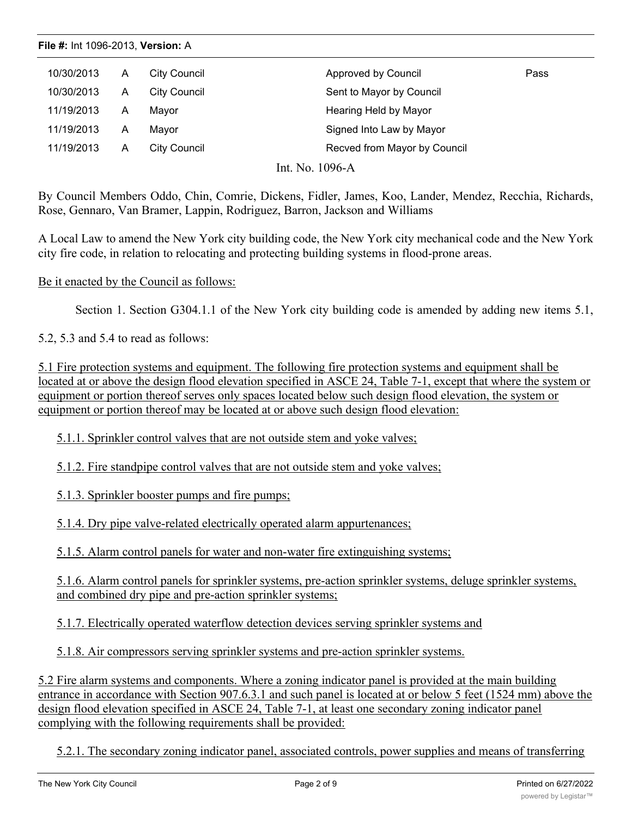| 10/30/2013 | A | City Council | Approved by Council          | Pass |
|------------|---|--------------|------------------------------|------|
| 10/30/2013 | A | City Council | Sent to Mayor by Council     |      |
| 11/19/2013 | A | Mayor        | Hearing Held by Mayor        |      |
| 11/19/2013 | A | Mavor        | Signed Into Law by Mayor     |      |
| 11/19/2013 | Α | City Council | Recved from Mayor by Council |      |
|            |   |              |                              |      |

Int. No. 1096-A

By Council Members Oddo, Chin, Comrie, Dickens, Fidler, James, Koo, Lander, Mendez, Recchia, Richards, Rose, Gennaro, Van Bramer, Lappin, Rodriguez, Barron, Jackson and Williams

A Local Law to amend the New York city building code, the New York city mechanical code and the New York city fire code, in relation to relocating and protecting building systems in flood-prone areas.

#### Be it enacted by the Council as follows:

Section 1. Section G304.1.1 of the New York city building code is amended by adding new items 5.1,

5.2, 5.3 and 5.4 to read as follows:

5.1 Fire protection systems and equipment. The following fire protection systems and equipment shall be located at or above the design flood elevation specified in ASCE 24, Table 7-1, except that where the system or equipment or portion thereof serves only spaces located below such design flood elevation, the system or equipment or portion thereof may be located at or above such design flood elevation:

5.1.1. Sprinkler control valves that are not outside stem and yoke valves;

5.1.2. Fire standpipe control valves that are not outside stem and yoke valves;

5.1.3. Sprinkler booster pumps and fire pumps;

5.1.4. Dry pipe valve-related electrically operated alarm appurtenances;

5.1.5. Alarm control panels for water and non-water fire extinguishing systems;

5.1.6. Alarm control panels for sprinkler systems, pre-action sprinkler systems, deluge sprinkler systems, and combined dry pipe and pre-action sprinkler systems;

5.1.7. Electrically operated waterflow detection devices serving sprinkler systems and

5.1.8. Air compressors serving sprinkler systems and pre-action sprinkler systems.

5.2 Fire alarm systems and components. Where a zoning indicator panel is provided at the main building entrance in accordance with Section 907.6.3.1 and such panel is located at or below 5 feet (1524 mm) above the design flood elevation specified in ASCE 24, Table 7-1, at least one secondary zoning indicator panel complying with the following requirements shall be provided:

5.2.1. The secondary zoning indicator panel, associated controls, power supplies and means of transferring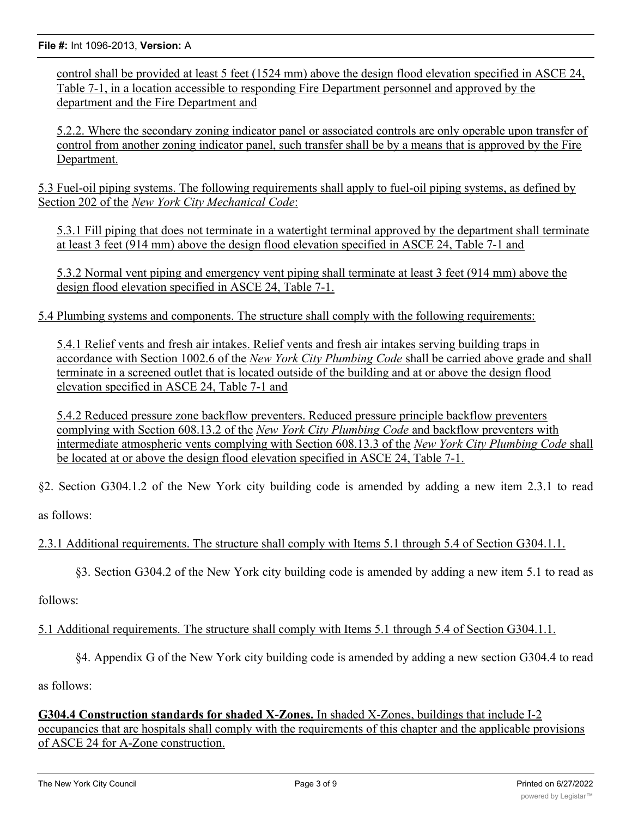**File #:** Int 1096-2013, **Version:** A

control shall be provided at least 5 feet (1524 mm) above the design flood elevation specified in ASCE 24, Table 7-1, in a location accessible to responding Fire Department personnel and approved by the department and the Fire Department and

5.2.2. Where the secondary zoning indicator panel or associated controls are only operable upon transfer of control from another zoning indicator panel, such transfer shall be by a means that is approved by the Fire Department.

5.3 Fuel-oil piping systems. The following requirements shall apply to fuel-oil piping systems, as defined by Section 202 of the *New York City Mechanical Code*:

5.3.1 Fill piping that does not terminate in a watertight terminal approved by the department shall terminate at least 3 feet (914 mm) above the design flood elevation specified in ASCE 24, Table 7-1 and

5.3.2 Normal vent piping and emergency vent piping shall terminate at least 3 feet (914 mm) above the design flood elevation specified in ASCE 24, Table 7-1.

5.4 Plumbing systems and components. The structure shall comply with the following requirements:

5.4.1 Relief vents and fresh air intakes. Relief vents and fresh air intakes serving building traps in accordance with Section 1002.6 of the *New York City Plumbing Code* shall be carried above grade and shall terminate in a screened outlet that is located outside of the building and at or above the design flood elevation specified in ASCE 24, Table 7-1 and

5.4.2 Reduced pressure zone backflow preventers. Reduced pressure principle backflow preventers complying with Section 608.13.2 of the *New York City Plumbing Code* and backflow preventers with intermediate atmospheric vents complying with Section 608.13.3 of the *New York City Plumbing Code* shall be located at or above the design flood elevation specified in ASCE 24, Table 7-1.

§2. Section G304.1.2 of the New York city building code is amended by adding a new item 2.3.1 to read

as follows:

2.3.1 Additional requirements. The structure shall comply with Items 5.1 through 5.4 of Section G304.1.1.

§3. Section G304.2 of the New York city building code is amended by adding a new item 5.1 to read as

follows:

5.1 Additional requirements. The structure shall comply with Items 5.1 through 5.4 of Section G304.1.1.

§4. Appendix G of the New York city building code is amended by adding a new section G304.4 to read

as follows:

**G304.4 Construction standards for shaded X-Zones.** In shaded X-Zones, buildings that include I-2 occupancies that are hospitals shall comply with the requirements of this chapter and the applicable provisions of ASCE 24 for A-Zone construction.

 $\overline{S}$  . Appendix G of the New York city building code is an energy adding a new section  $G$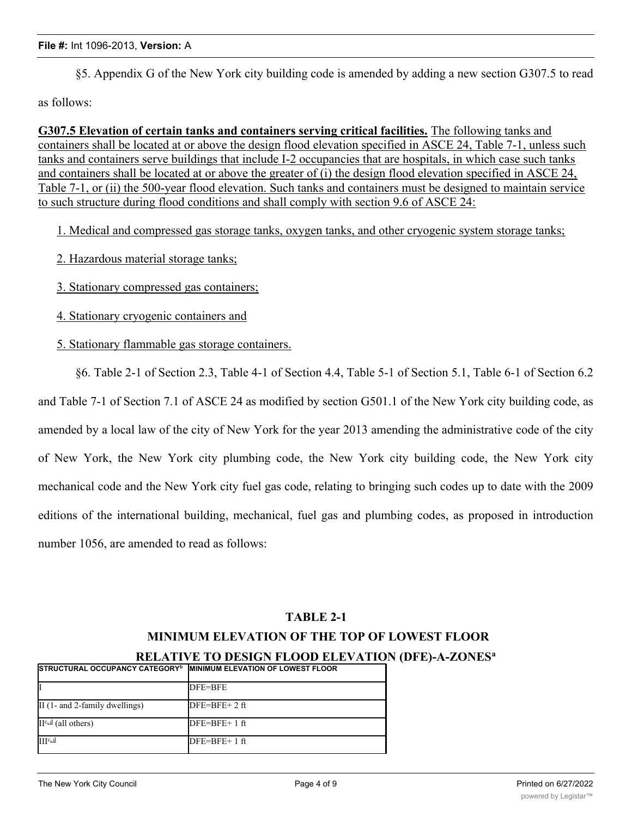§5. Appendix G of the New York city building code is amended by adding a new section G307.5 to read

as follows:

**G307.5 Elevation of certain tanks and containers serving critical facilities.** The following tanks and containers shall be located at or above the design flood elevation specified in ASCE 24, Table 7-1, unless such tanks and containers serve buildings that include I-2 occupancies that are hospitals, in which case such tanks and containers shall be located at or above the greater of (i) the design flood elevation specified in ASCE 24, Table 7-1, or (ii) the 500-year flood elevation. Such tanks and containers must be designed to maintain service to such structure during flood conditions and shall comply with section 9.6 of ASCE 24:

1. Medical and compressed gas storage tanks, oxygen tanks, and other cryogenic system storage tanks;

- 2. Hazardous material storage tanks;
- 3. Stationary compressed gas containers;
- 4. Stationary cryogenic containers and
- 5. Stationary flammable gas storage containers.

§6. Table 2-1 of Section 2.3, Table 4-1 of Section 4.4, Table 5-1 of Section 5.1, Table 6-1 of Section 6.2 and Table 7-1 of Section 7.1 of ASCE 24 as modified by section G501.1 of the New York city building code, as amended by a local law of the city of New York for the year 2013 amending the administrative code of the city of New York, the New York city plumbing code, the New York city building code, the New York city mechanical code and the New York city fuel gas code, relating to bringing such codes up to date with the 2009 editions of the international building, mechanical, fuel gas and plumbing codes, as proposed in introduction number 1056, are amended to read as follows:

#### **TABLE 2-1**

## **MINIMUM ELEVATION OF THE TOP OF LOWEST FLOOR**

**RELATIVE TO DESIGN FLOOD ELEVATION (DFE)-A-ZONESa**

| <b>ISTRUCTURAL OCCUPANCY CATEGORY<sup>b</sup> IMINIMUM ELEVATION OF LOWEST FLOOR</b> |                |
|--------------------------------------------------------------------------------------|----------------|
|                                                                                      | DFE=BFE        |
| $\text{II}$ (1- and 2-family dwellings)                                              | $DFE=BFE+2ft$  |
| $II^{c,d}$ (all others)                                                              | $DFE=BFE+1$ ft |
| $IIIc$ $d$                                                                           | $DFE=BFE+1ft$  |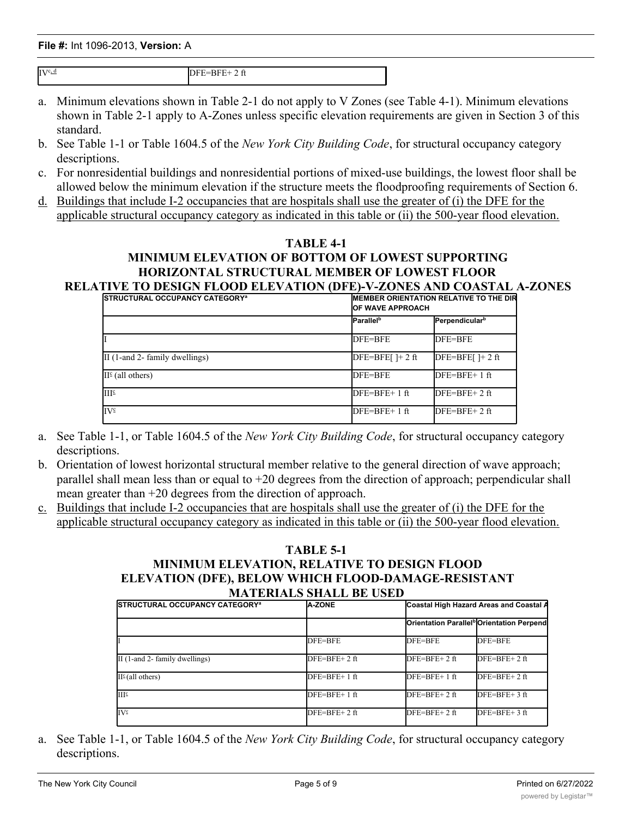**File #:** Int 1096-2013, **Version:** A IIIc, d (all others) DFE=BFE+ 1 ft (all others) DFE=BFE+ 1 ft (all others) DFE=BFE+ 1 ft (all others) III. d DFE=BFE+ 1 ft=BFE+ 1 ft=BFE+ 1 ft=BFE+ 1 ft=BFE+ 1 ft=BFE+ 1 ft=BFE+ 1 ft=BFE+ 1 ft=BFE+ 1 ft=BFE+ 1 ft=BFE+ 1 ft=BFE+ 1 ft=BFE+ 1 ft=BFE+ 1 ft=BFE+ 1 ft=BFE+ 1 ft=BFE+ 1 ft=BFE+ 1 ft=BFE+ 1 ft=BFE+ 1 ft=BFE+ 1 ft=B

 $IV^{c,d}$  DFE=BFE+ 2 ft

- a. Minimum elevations shown in Table 2-1 do not apply to V Zones (see Table 4-1). Minimum elevations shown in Table 2-1 apply to A-Zones unless specific elevation requirements are given in Section 3 of this standard.
- b. See Table 1-1 or Table 1604.5 of the *New York City Building Code*, for structural occupancy category descriptions.
- c. For nonresidential buildings and nonresidential portions of mixed-use buildings, the lowest floor shall be allowed below the minimum elevation if the structure meets the floodproofing requirements of Section 6.
- d. Buildings that include I-2 occupancies that are hospitals shall use the greater of (i) the DFE for the applicable structural occupancy category as indicated in this table or (ii) the 500-year flood elevation.

#### **TABLE 4-1**

#### **MINIMUM ELEVATION OF BOTTOM OF LOWEST SUPPORTING HORIZONTAL STRUCTURAL MEMBER OF LOWEST FLOOR RELATIVE TO DESIGN FLOOD ELEVATION (DFE)-V-ZONES AND COASTAL A-ZONES**

| <b>ISTRUCTURAL OCCUPANCY CATEGORY<sup>a</sup></b> |                              | <b>IMEMBER ORIENTATION RELATIVE TO THE DIRE</b><br><b>IOF WAVE APPROACH</b> |  |
|---------------------------------------------------|------------------------------|-----------------------------------------------------------------------------|--|
|                                                   | <b>Parallel</b> <sup>b</sup> | Perpendicular <sup>b</sup>                                                  |  |
|                                                   | DFE=BFE                      | DFE=BFE                                                                     |  |
| $\text{II}$ (1-and 2- family dwellings)           | $DFE=BFE[$ $]+ 2$ ft         | $DFE=BFE[$ $]+ 2$ ft                                                        |  |
| $II^{\epsilon}$ (all others)                      | DFE=BFE                      | $DFE=BFE+1$ ft                                                              |  |
| III <sup>c</sup>                                  | $DFE = BFE + 1 ft$           | $DFE=BFE+2ft$                                                               |  |
| $IV^{\circ}$                                      | $DFE = BFE + 1 ft$           | $DFE=BFE+2$ ft                                                              |  |

- a. See Table 1-1, or Table 1604.5 of the *New York City Building Code*, for structural occupancy category descriptions.
- b. Orientation of lowest horizontal structural member relative to the general direction of wave approach; parallel shall mean less than or equal to  $+20$  degrees from the direction of approach; perpendicular shall mean greater than +20 degrees from the direction of approach.
- c. Buildings that include I-2 occupancies that are hospitals shall use the greater of (i) the DFE for the applicable structural occupancy category as indicated in this table or (ii) the 500-year flood elevation.

#### **TABLE 5-1 MINIMUM ELEVATION, RELATIVE TO DESIGN FLOOD ELEVATION (DFE), BELOW WHICH FLOOD-DAMAGE-RESISTANT MATERIALS SHALL BE USED**

| <b>ISTRUCTURAL OCCUPANCY CATEGORY<sup>a</sup></b> | <b>A-ZONE</b>      | Coastal High Hazard Areas and Coastal A               |               |
|---------------------------------------------------|--------------------|-------------------------------------------------------|---------------|
|                                                   |                    | Orientation Parallel <sup>b</sup> Orientation Perpend |               |
|                                                   | DFE=BFE            | DFE=BFE                                               | DFE=BFE       |
| $\text{II}$ (1-and 2- family dwellings)           | $DFE=BFE+2ft$      | $DFE=BFE+2ft$                                         | $DFE=BFE+2ft$ |
| $II^{\epsilon}$ (all others)                      | $DFE=BFE+1$ ft     | $DFE=BFE+1ft$                                         | $DFE=BFE+2ft$ |
| III <sup>2</sup>                                  | $DFE = BFE + 1 ft$ | $DFE=BFE+2ft$                                         | $DFE=BFE+3ft$ |
| <b>IV</b> ⊆                                       | $DFE=BFE+2ft$      | $DFE=BFE+2ft$                                         | $DFE=BFE+3ft$ |

a. See Table 1-1, or Table 1604.5 of the *New York City Building Code*, for structural occupancy category descriptions.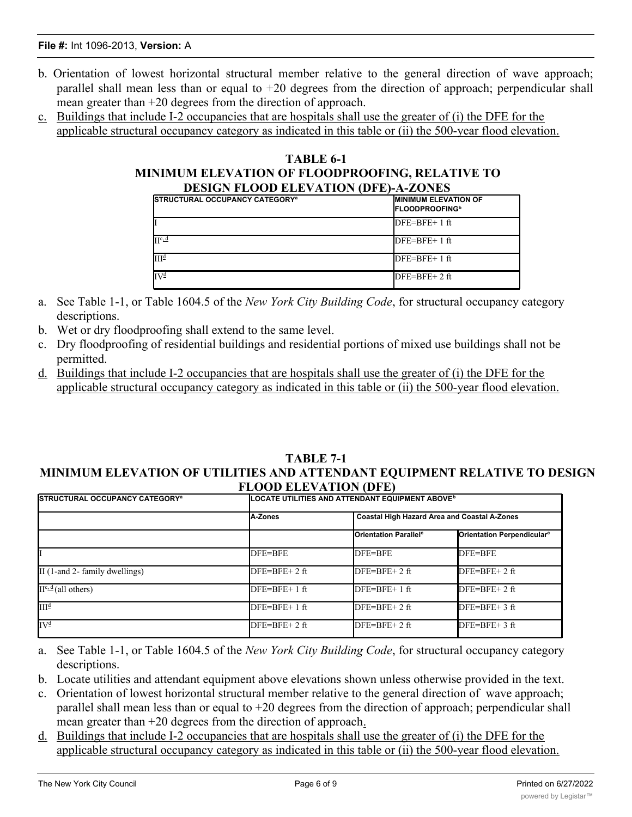- b. Orientation of lowest horizontal structural member relative to the general direction of wave approach; parallel shall mean less than or equal to +20 degrees from the direction of approach; perpendicular shall mean greater than +20 degrees from the direction of approach.
- c. Buildings that include I-2 occupancies that are hospitals shall use the greater of (i) the DFE for the applicable structural occupancy category as indicated in this table or (ii) the 500-year flood elevation.

| TABLE 6-1                                       |                                                   |                                                                  |  |  |
|-------------------------------------------------|---------------------------------------------------|------------------------------------------------------------------|--|--|
| MINIMUM ELEVATION OF FLOODPROOFING, RELATIVE TO |                                                   |                                                                  |  |  |
| <b>DESIGN FLOOD ELEVATION (DFE)-A-ZONES</b>     |                                                   |                                                                  |  |  |
|                                                 | <b>ISTRUCTURAL OCCUPANCY CATEGORY<sup>a</sup></b> | <b>MINIMUM ELEVATION OF</b><br><b>FLOODPROOFING</b> <sup>b</sup> |  |  |
|                                                 |                                                   | $DFE=BFE+1$ ft                                                   |  |  |

|                  | $DFE=BFE+1$ ft |
|------------------|----------------|
| $\Pi^{c,d}$      | $DFE=BFE+1$ ft |
| III <sup>d</sup> | $DFE=BFE+1$ ft |
| ΓV₫              | $DFE=BFE+2ft$  |

- a. See Table 1-1, or Table 1604.5 of the *New York City Building Code*, for structural occupancy category descriptions.
- b. Wet or dry floodproofing shall extend to the same level.
- c. Dry floodproofing of residential buildings and residential portions of mixed use buildings shall not be permitted.
- d. Buildings that include I-2 occupancies that are hospitals shall use the greater of (i) the DFE for the applicable structural occupancy category as indicated in this table or (ii) the 500-year flood elevation.

#### **TABLE 7-1 MINIMUM ELEVATION OF UTILITIES AND ATTENDANT EQUIPMENT RELATIVE TO DESIGN FLOOD ELEVATION (DFE)**

| <b>ISTRUCTURAL OCCUPANCY CATEGORY<sup>a</sup></b> | LOCATE UTILITIES AND ATTENDANT EQUIPMENT ABOVE <sup>b</sup> |                                         |                                                     |  |
|---------------------------------------------------|-------------------------------------------------------------|-----------------------------------------|-----------------------------------------------------|--|
|                                                   | A-Zones                                                     |                                         | <b>Coastal High Hazard Area and Coastal A-Zones</b> |  |
|                                                   |                                                             | <b>Orientation Parallel<sup>c</sup></b> | Orientation Perpendicular <sup>c</sup>              |  |
|                                                   | DFE=BFE                                                     | DFE=BFE                                 | DFE=BFE                                             |  |
| $\text{II}$ (1-and 2- family dwellings)           | $DFE=BFE+2ft$                                               | $DFE=BFE+2ft$                           | $DFE=BFE+2ft$                                       |  |
| $II^{c,d}$ (all others)                           | $DFE=BFE+1$ ft                                              | $DFE=BFE+1$ ft                          | $DFE=BFE+2ft$                                       |  |
| III <sup>d</sup>                                  | $DFE=BFE+1$ ft                                              | $DFE=BFE+2ft$                           | $DFE=BFE+3$ ft                                      |  |
| $IV^{\underline{d}}$                              | $DFE=BFE+2$ ft                                              | $DFE=BFE+2$ ft                          | $DFE=BFE+3$ ft                                      |  |

- a. See Table 1-1, or Table 1604.5 of the *New York City Building Code*, for structural occupancy category descriptions.
- b. Locate utilities and attendant equipment above elevations shown unless otherwise provided in the text.
- c. Orientation of lowest horizontal structural member relative to the general direction of wave approach; parallel shall mean less than or equal to +20 degrees from the direction of approach; perpendicular shall mean greater than +20 degrees from the direction of approach.
- d. Buildings that include I-2 occupancies that are hospitals shall use the greater of (i) the DFE for the applicable structural occupancy category as indicated in this table or (ii) the 500-year flood elevation.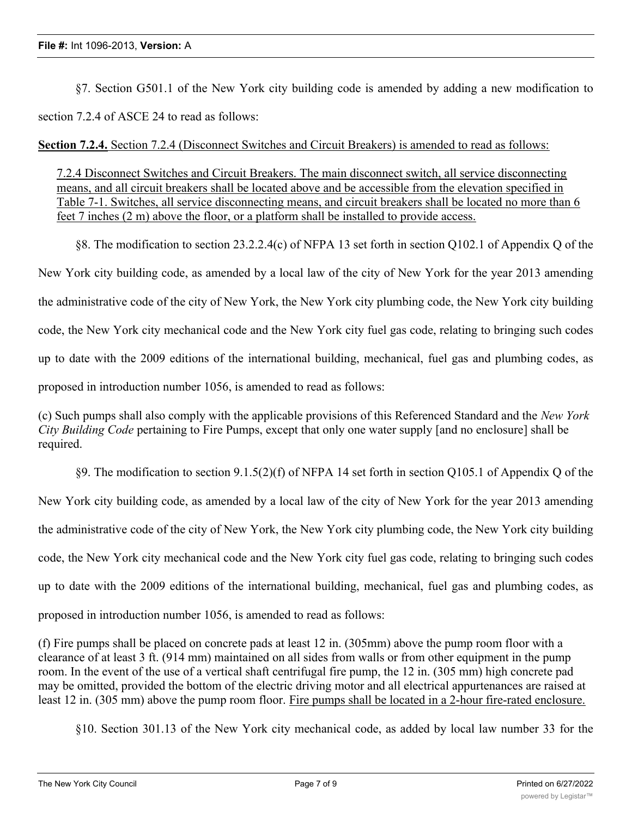§7. Section G501.1 of the New York city building code is amended by adding a new modification to section 7.2.4 of ASCE 24 to read as follows:

### **Section 7.2.4.** Section 7.2.4 (Disconnect Switches and Circuit Breakers) is amended to read as follows:

7.2.4 Disconnect Switches and Circuit Breakers. The main disconnect switch, all service disconnecting means, and all circuit breakers shall be located above and be accessible from the elevation specified in Table 7-1. Switches, all service disconnecting means, and circuit breakers shall be located no more than 6 feet 7 inches (2 m) above the floor, or a platform shall be installed to provide access.

§8. The modification to section 23.2.2.4(c) of NFPA 13 set forth in section Q102.1 of Appendix Q of the New York city building code, as amended by a local law of the city of New York for the year 2013 amending the administrative code of the city of New York, the New York city plumbing code, the New York city building code, the New York city mechanical code and the New York city fuel gas code, relating to bringing such codes up to date with the 2009 editions of the international building, mechanical, fuel gas and plumbing codes, as proposed in introduction number 1056, is amended to read as follows:

(c) Such pumps shall also comply with the applicable provisions of this Referenced Standard and the *New York City Building Code* pertaining to Fire Pumps, except that only one water supply [and no enclosure] shall be required.

§9. The modification to section 9.1.5(2)(f) of NFPA 14 set forth in section Q105.1 of Appendix Q of the New York city building code, as amended by a local law of the city of New York for the year 2013 amending the administrative code of the city of New York, the New York city plumbing code, the New York city building code, the New York city mechanical code and the New York city fuel gas code, relating to bringing such codes up to date with the 2009 editions of the international building, mechanical, fuel gas and plumbing codes, as proposed in introduction number 1056, is amended to read as follows:

(f) Fire pumps shall be placed on concrete pads at least 12 in. (305mm) above the pump room floor with a clearance of at least 3 ft. (914 mm) maintained on all sides from walls or from other equipment in the pump room. In the event of the use of a vertical shaft centrifugal fire pump, the 12 in. (305 mm) high concrete pad may be omitted, provided the bottom of the electric driving motor and all electrical appurtenances are raised at least 12 in. (305 mm) above the pump room floor. Fire pumps shall be located in a 2-hour fire-rated enclosure.

§10. Section 301.13 of the New York city mechanical code, as added by local law number 33 for the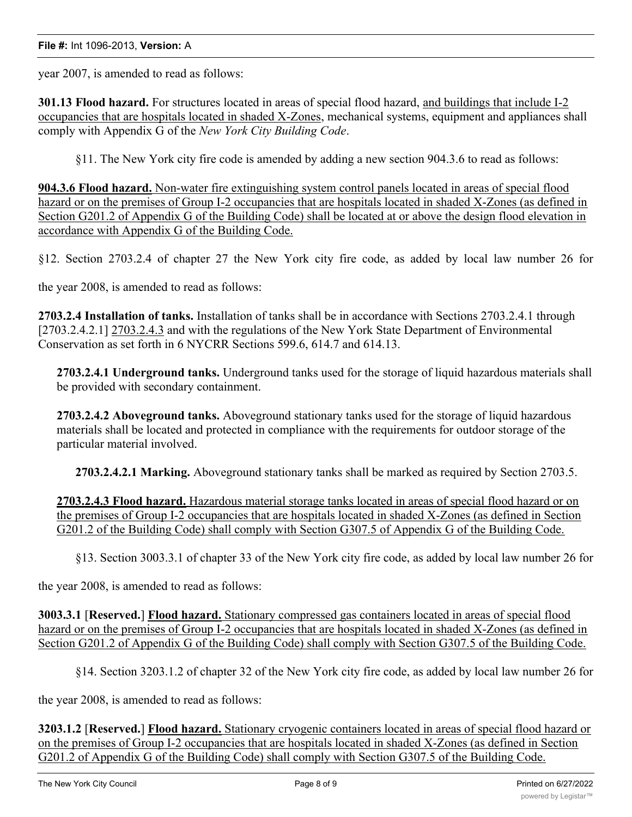#### **File #:** Int 1096-2013, **Version:** A

year 2007, is amended to read as follows:

**301.13 Flood hazard.** For structures located in areas of special flood hazard, and buildings that include I-2 occupancies that are hospitals located in shaded X-Zones, mechanical systems, equipment and appliances shall comply with Appendix G of the *New York City Building Code*.

§11. The New York city fire code is amended by adding a new section 904.3.6 to read as follows:

**904.3.6 Flood hazard.** Non-water fire extinguishing system control panels located in areas of special flood hazard or on the premises of Group I-2 occupancies that are hospitals located in shaded X-Zones (as defined in Section G201.2 of Appendix G of the Building Code) shall be located at or above the design flood elevation in accordance with Appendix G of the Building Code.

§12. Section 2703.2.4 of chapter 27 the New York city fire code, as added by local law number 26 for

the year 2008, is amended to read as follows:

**2703.2.4 Installation of tanks.** Installation of tanks shall be in accordance with Sections 2703.2.4.1 through [2703.2.4.2.1] 2703.2.4.3 and with the regulations of the New York State Department of Environmental Conservation as set forth in 6 NYCRR Sections 599.6, 614.7 and 614.13.

**2703.2.4.1 Underground tanks.** Underground tanks used for the storage of liquid hazardous materials shall be provided with secondary containment.

**2703.2.4.2 Aboveground tanks.** Aboveground stationary tanks used for the storage of liquid hazardous materials shall be located and protected in compliance with the requirements for outdoor storage of the particular material involved.

**2703.2.4.2.1 Marking.** Aboveground stationary tanks shall be marked as required by Section 2703.5.

**2703.2.4.3 Flood hazard.** Hazardous material storage tanks located in areas of special flood hazard or on the premises of Group I-2 occupancies that are hospitals located in shaded X-Zones (as defined in Section G201.2 of the Building Code) shall comply with Section G307.5 of Appendix G of the Building Code.

§13. Section 3003.3.1 of chapter 33 of the New York city fire code, as added by local law number 26 for

the year 2008, is amended to read as follows:

**3003.3.1** [**Reserved.**] **Flood hazard.** Stationary compressed gas containers located in areas of special flood hazard or on the premises of Group I-2 occupancies that are hospitals located in shaded X-Zones (as defined in Section G201.2 of Appendix G of the Building Code) shall comply with Section G307.5 of the Building Code.

§14. Section 3203.1.2 of chapter 32 of the New York city fire code, as added by local law number 26 for

the year 2008, is amended to read as follows:

**3203.1.2** [**Reserved.**] **Flood hazard.** Stationary cryogenic containers located in areas of special flood hazard or on the premises of Group I-2 occupancies that are hospitals located in shaded X-Zones (as defined in Section G201.2 of Appendix G of the Building Code) shall comply with Section G307.5 of the Building Code.